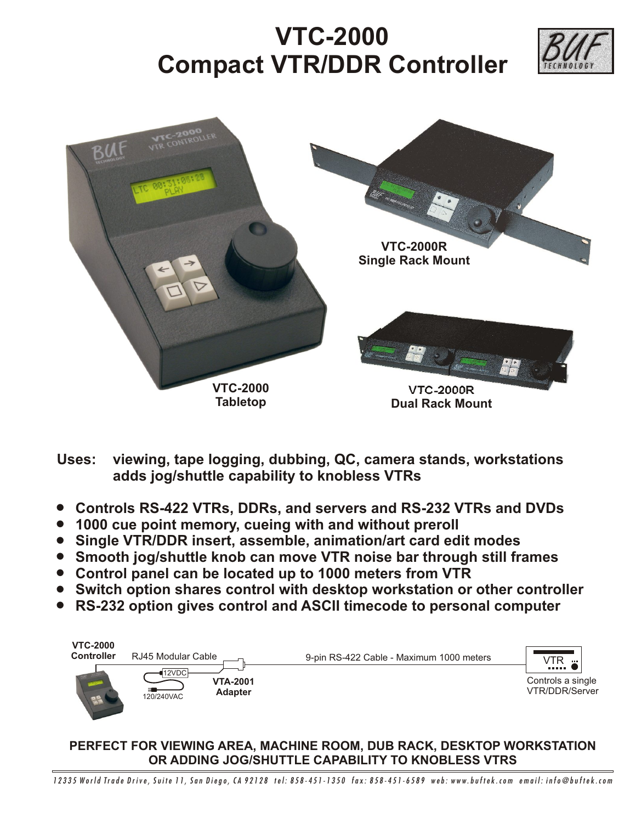## **VTC-2000 Compact VTR/DDR Controller**





**Uses: viewing, tape logging, dubbing, QC, camera stands, workstations adds jog/shuttle capability to knobless VTRs**

- ! **Controls RS-422 VTRs, DDRs, and servers and RS-232 VTRs and DVDs**
- ! **1000 cue point memory, cueing with and without preroll**
- ! **Single VTR/DDR insert, assemble, animation/art card edit modes**
- ! **Smooth jog/shuttle knob can move VTR noise bar through still frames**
- ! **Control panel can be located up to 1000 meters from VTR**
- ! **Switch option shares control with desktop workstation or other controller**
- ! **RS-232 option gives control and ASCII timecode to personal computer**



## **PERFECT FOR VIEWING AREA, MACHINE ROOM, DUB RACK, DESKTOP WORKSTATION OR ADDING JOG/SHUTTLE CAPABILITY TO KNOBLESS VTRS**